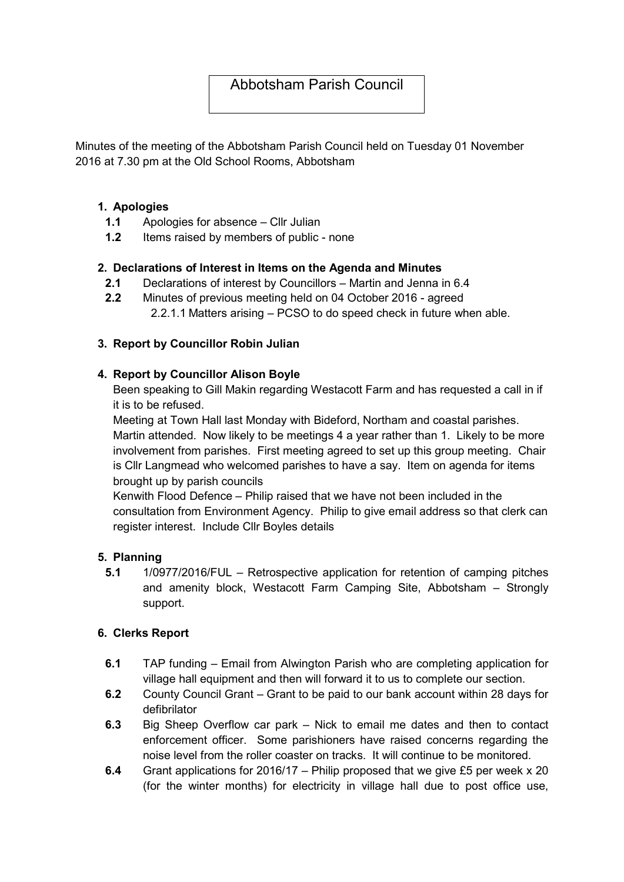# Abbotsham Parish Council

Minutes of the meeting of the Abbotsham Parish Council held on Tuesday 01 November 2016 at 7.30 pm at the Old School Rooms, Abbotsham

### 1. Apologies

- 1.1 Apologies for absence Cllr Julian
- 1.2 Items raised by members of public none

### 2. Declarations of Interest in Items on the Agenda and Minutes

- 2.1 Declarations of interest by Councillors Martin and Jenna in 6.4
- 2.2 Minutes of previous meeting held on 04 October 2016 agreed 2.2.1.1 Matters arising – PCSO to do speed check in future when able.

### 3. Report by Councillor Robin Julian

### 4. Report by Councillor Alison Boyle

Been speaking to Gill Makin regarding Westacott Farm and has requested a call in if it is to be refused.

Meeting at Town Hall last Monday with Bideford, Northam and coastal parishes. Martin attended. Now likely to be meetings 4 a year rather than 1. Likely to be more involvement from parishes. First meeting agreed to set up this group meeting. Chair is Cllr Langmead who welcomed parishes to have a say. Item on agenda for items brought up by parish councils

Kenwith Flood Defence – Philip raised that we have not been included in the consultation from Environment Agency. Philip to give email address so that clerk can register interest. Include Cllr Boyles details

#### 5. Planning

5.1 1/0977/2016/FUL – Retrospective application for retention of camping pitches and amenity block, Westacott Farm Camping Site, Abbotsham – Strongly support.

## 6. Clerks Report

- 6.1 TAP funding Email from Alwington Parish who are completing application for village hall equipment and then will forward it to us to complete our section.
- 6.2 County Council Grant Grant to be paid to our bank account within 28 days for defibrilator
- 6.3 Big Sheep Overflow car park Nick to email me dates and then to contact enforcement officer. Some parishioners have raised concerns regarding the noise level from the roller coaster on tracks. It will continue to be monitored.
- 6.4 Grant applications for 2016/17 Philip proposed that we give £5 per week x 20 (for the winter months) for electricity in village hall due to post office use,